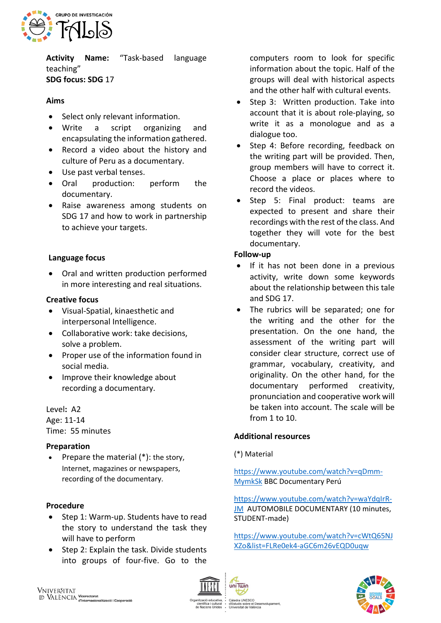

**Activity Name:** "Task-based language teaching" **SDG focus: SDG** 17

## **Aims**

- Select only relevant information.
- Write a script organizing and encapsulating the information gathered.
- Record a video about the history and culture of Peru as a documentary.
- Use past verbal tenses.
- Oral production: perform the documentary.
- Raise awareness among students on SDG 17 and how to work in partnership to achieve your targets.

## **Language focus**

• Oral and written production performed in more interesting and real situations.

#### **Creative focus**

- Visual-Spatial, kinaesthetic and interpersonal Intelligence.
- Collaborative work: take decisions, solve a problem.
- Proper use of the information found in social media.
- Improve their knowledge about recording a documentary.

# Level**:** A2

Age: 11-14 Time: 55 minutes

#### **Preparation**

• Prepare the material  $(*)$ : the story, Internet, magazines or newspapers, recording of the documentary.

#### **Procedure**

- Step 1: Warm-up. Students have to read the story to understand the task they will have to perform
- Step 2: Explain the task. Divide students into groups of four-five. Go to the

computers room to look for specific information about the topic. Half of the groups will deal with historical aspects and the other half with cultural events.

- Step 3: Written production. Take into account that it is about role-playing, so write it as a monologue and as a dialogue too.
- Step 4: Before recording, feedback on the writing part will be provided. Then, group members will have to correct it. Choose a place or places where to record the videos.
- Step 5: Final product: teams are expected to present and share their recordings with the rest of the class. And together they will vote for the best documentary.

#### **Follow-up**

- If it has not been done in a previous activity, write down some keywords about the relationship between this tale and SDG 17.
- The rubrics will be separated; one for the writing and the other for the presentation. On the one hand, the assessment of the writing part will consider clear structure, correct use of grammar, vocabulary, creativity, and originality. On the other hand, for the documentary performed creativity, pronunciation and cooperative work will be taken into account. The scale will be from 1 to 10.

# **Additional resources**

iCO<br>e el Desenvolupament

uis sobre el Des<br>sitat de València

#### (\*) Material

[https://www.youtube.com/watch?v=qDmm-](https://www.youtube.com/watch?v=qDmm-MymkSk)[MymkSk](https://www.youtube.com/watch?v=qDmm-MymkSk) BBC Documentary Perú

[https://www.youtube.com/watch?v=waYdqIrR-](https://www.youtube.com/watch?v=waYdqIrR-JM)[JM](https://www.youtube.com/watch?v=waYdqIrR-JM) AUTOMOBILE DOCUMENTARY (10 minutes, STUDENT-made)

[https://www.youtube.com/watch?v=cWtQ65NJ](https://www.youtube.com/watch?v=cWtQ65NJXZo&list=FLRe0ek4-aGC6m26vEQD0uqw) [XZo&list=FLRe0ek4-aGC6m26vEQD0uqw](https://www.youtube.com/watch?v=cWtQ65NJXZo&list=FLRe0ek4-aGC6m26vEQD0uqw)